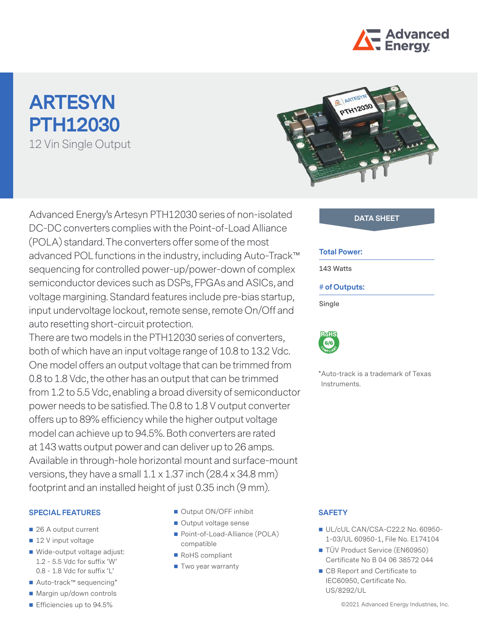

# **ARTESYN PTH12030** 12 Vin Single Output



Advanced Energy's Artesyn PTH12030 series of non-isolated **DATA SHEET** DC-DC converters complies with the Point-of-Load Alliance (POLA) standard. The converters offer some of the most advanced POL functions in the industry, including Auto-Track™ sequencing for controlled power-up/power-down of complex semiconductor devices such as DSPs, FPGAs and ASICs, and voltage margining. Standard features include pre-bias startup, input undervoltage lockout, remote sense, remote On/Off and auto resetting short-circuit protection.

There are two models in the PTH12030 series of converters, both of which have an input voltage range of 10.8 to 13.2 Vdc. One model offers an output voltage that can be trimmed from 0.8 to 1.8 Vdc, the other has an output that can be trimmed from 1.2 to 5.5 Vdc, enabling a broad diversity of semiconductor power needs to be satisfied. The 0.8 to 1.8 V output converter offers up to 89% efficiency while the higher output voltage model can achieve up to 94.5%. Both converters are rated at 143 watts output power and can deliver up to 26 amps. Available in through-hole horizontal mount and surface-mount versions, they have a small 1.1 x 1.37 inch (28.4 x 34.8 mm) footprint and an installed height of just 0.35 inch (9 mm).

#### **SPECIAL FEATURES**

- 26 A output current
- 12 V input voltage
- Wide-output voltage adjust: 1.2 - 5.5 Vdc for suffix 'W' 0.8 - 1.8 Vdc for suffix 'L'
- Auto-track™ sequencing\*
- Margin up/down controls
- Efficiencies up to 94.5%
- Output ON/OFF inhibit
- Output voltage sense
- Point-of-Load-Alliance (POLA) compatible
- RoHS compliant
- Two year warranty

#### **Total Power:**

**143 Watts**

#### **# of Outputs:**

**Single**



\*Auto-track is a trademark of Texas Instruments.

#### **SAFETY**

- UL/cUL CAN/CSA-C22.2 No. 60950-1-03/UL 60950-1, File No. E174104
- TÜV Product Service (EN60950) Certificate No B 04 06 38572 044
- CB Report and Certificate to IEC60950, Certificate No. US/8292/UL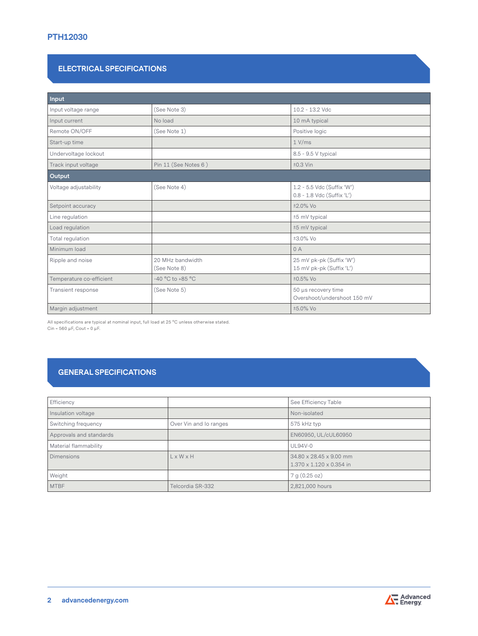# **PTH12030**

# **ELECTRICAL SPECIFICATIONS**

| Input                    |                                  |                                                          |
|--------------------------|----------------------------------|----------------------------------------------------------|
| Input voltage range      | (See Note 3)                     | 10.2 - 13.2 Vdc                                          |
| Input current            | No load                          | 10 mA typical                                            |
| Remote ON/OFF            | (See Note 1)                     | Positive logic                                           |
| Start-up time            |                                  | 1 V/ms                                                   |
| Undervoltage lockout     |                                  | 8.5 - 9.5 V typical                                      |
| Track input voltage      | Pin 11 (See Notes 6)             | $±0.3$ Vin                                               |
| Output                   |                                  |                                                          |
| Voltage adjustability    | (See Note 4)                     | 1.2 - 5.5 Vdc (Suffix 'W')<br>0.8 - 1.8 Vdc (Suffix 'L') |
| Setpoint accuracy        |                                  | $±2.0\%$ Vo                                              |
| Line regulation          |                                  | ±5 mV typical                                            |
| Load regulation          |                                  | ±5 mV typical                                            |
| Total regulation         |                                  | ±3.0% Vo                                                 |
| Minimum load             |                                  | 0A                                                       |
| Ripple and noise         | 20 MHz bandwidth<br>(See Note 8) | 25 mV pk-pk (Suffix 'W')<br>15 mV pk-pk (Suffix 'L')     |
| Temperature co-efficient | -40 °C to +85 °C                 | $±0.5\%$ Vo                                              |
| Transient response       | (See Note 5)                     | 50 µs recovery time<br>Overshoot/undershoot 150 mV       |
| Margin adjustment        |                                  | ±5.0% Vo                                                 |

All specifications are typical at nominal input, full load at 25 °C unless otherwise stated. Cin =  $560 \mu$ F, Cout =  $0 \mu$ F.

# **GENERAL SPECIFICATIONS**

| Efficiency              |                        | See Efficiency Table                                            |
|-------------------------|------------------------|-----------------------------------------------------------------|
| Insulation voltage      |                        | Non-isolated                                                    |
| Switching frequency     | Over Vin and Io ranges | 575 kHz typ                                                     |
| Approvals and standards |                        | EN60950, UL/cUL60950                                            |
| Material flammability   |                        | <b>UL94V-0</b>                                                  |
| <b>Dimensions</b>       | L x W x H              | 34.80 x 28.45 x 9.00 mm<br>$1.370 \times 1.120 \times 0.354$ in |
| Weight                  |                        | 7 g (0.25 oz)                                                   |
| <b>MTBF</b>             | Telcordia SR-332       | 2,821,000 hours                                                 |

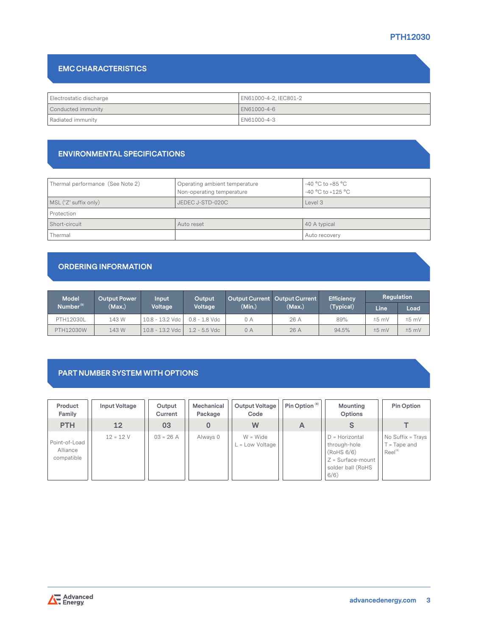# **PTH12030**

# **EMC CHARACTERISTICS**

| Electrostatic discharge | EN61000-4-2, IEC801-2 |  |  |
|-------------------------|-----------------------|--|--|
| Conducted immunity      | LEN61000-4-6          |  |  |
| Radiated immunity       | EN61000-4-3           |  |  |

## **ENVIRONMENTAL SPECIFICATIONS**

| Thermal performance (See Note 2) | Operating ambient temperature<br>Non-operating temperature | -40 $^{\circ}$ C to +85 $^{\circ}$ C<br>$-40 °C$ to $+125 °C$ |  |
|----------------------------------|------------------------------------------------------------|---------------------------------------------------------------|--|
| MSL ('Z' suffix only)            | JEDEC J-STD-020C                                           | Level 3                                                       |  |
| Protection                       |                                                            |                                                               |  |
| Short-circuit                    | Auto reset                                                 | 40 A typical                                                  |  |
| Thermal                          |                                                            | Auto recovery                                                 |  |

# **ORDERING INFORMATION**

| <b>Model</b>          | <b>Output Power</b> | Input             | Output          |        | Output Current   Output Current | <b>Efficiency</b> | Regulation |         |
|-----------------------|---------------------|-------------------|-----------------|--------|---------------------------------|-------------------|------------|---------|
| Number <sup>(9)</sup> | (Max.)              | Voltage           | Voltage         | (Min.) | (Max.)                          | (Typical)         | Line       | Load    |
| PTH12030L             | 143 W               | 10.8 - 13.2 Vdc   | $0.8 - 1.8$ Vdc | 0 A    | 26 A                            | 89%               | $±5$ mV    | $±5$ mV |
| PTH12030W             | 143 W               | $10.8 - 13.2$ Vdc | $1.2 - 5.5$ Vdc | 0 A    | 26 A                            | 94.5%             | $±5$ mV    | $±5$ mV |

# **PART NUMBER SYSTEM WITH OPTIONS**

| Product<br>Family                       | Input Voltage | Output<br>Current | Mechanical<br>Package | Output Voltage<br>Code        | Pin Option <sup>(8)</sup> | Mounting<br>Options                                                                                 | Pin Option                                                 |
|-----------------------------------------|---------------|-------------------|-----------------------|-------------------------------|---------------------------|-----------------------------------------------------------------------------------------------------|------------------------------------------------------------|
| <b>PTH</b>                              | 12            | 03                |                       | W                             | A                         |                                                                                                     |                                                            |
| Point-of-Load<br>Alliance<br>compatible | $12 = 12 V$   | $03 = 26 A$       | Always 0              | $W = Wide$<br>. = Low Voltage |                           | $D =$ Horizontal<br>through-hole<br>(RoHS 6/6)<br>$Z = Surface$ -mount<br>solder ball (RoHS<br>6/6) | No Suffix = Trays<br>$T = \text{Tape}$ and<br>$Reel^{(8)}$ |

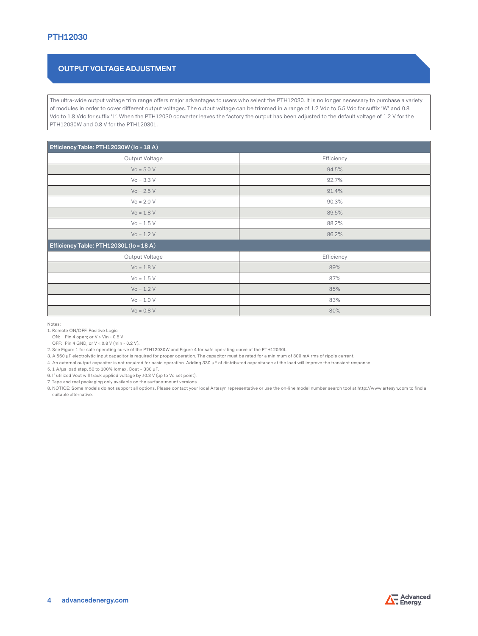# **OUTPUT VOLTAGE ADJUSTMENT**

The ultra-wide output voltage trim range offers major advantages to users who select the PTH12030. It is no longer necessary to purchase a variety of modules in order to cover different output voltages. The output voltage can be trimmed in a range of 1.2 Vdc to 5.5 Vdc for suffix 'W' and 0.8 Vdc to 1.8 Vdc for suffix 'L'. When the PTH12030 converter leaves the factory the output has been adjusted to the default voltage of 1.2 V for the PTH12030W and 0.8 V for the PTH12030L.

| Efficiency Table: PTH12030W (lo = 18 A) |            |  |  |  |
|-----------------------------------------|------------|--|--|--|
| Output Voltage                          | Efficiency |  |  |  |
| $Vo = 5.0 V$                            | 94.5%      |  |  |  |
| $Vo = 3.3 V$                            | 92.7%      |  |  |  |
| $Vo = 2.5 V$                            | 91.4%      |  |  |  |
| $Vo = 2.0 V$                            | 90.3%      |  |  |  |
| $Vo = 1.8 V$                            | 89.5%      |  |  |  |
| $Vo = 1.5 V$                            | 88.2%      |  |  |  |
| $Vo = 1.2 V$                            | 86.2%      |  |  |  |
| Efficiency Table: PTH12030L (lo = 18 A) |            |  |  |  |
| Output Voltage                          | Efficiency |  |  |  |
| $Vo = 1.8 V$                            | 89%        |  |  |  |
| $Vo = 1.5 V$                            | 87%        |  |  |  |
| $Vo = 1.2 V$                            | 85%        |  |  |  |
| $Vo = 1.0 V$                            | 83%        |  |  |  |
| $Vo = 0.8 V$                            | 80%        |  |  |  |

Notes:

1. Remote ON/OFF. Positive Logic

ON: Pin 4 open; or V > Vin - 0.5 V

OFF: Pin 4 GND; or V < 0.8 V (min - 0.2 V).

2. See Figure 1 for safe operating curve of the PTH12030W and Figure 4 for safe operating curve of the PTH12030L.

3. A 560 μF electrolytic input capacitor is required for proper operation. The capacitor must be rated for a minimum of 800 mA rms of ripple current.

4. An external output capacitor is not required for basic operation. Adding 330 μF of distributed capacitance at the load will improve the transient response.

5. 1 A/μs load step, 50 to 100% Iomax, Cout = 330 μF.

6. If utilized Vout will track applied voltage by ±0.3 V (up to Vo set point).

7. Tape and reel packaging only available on the surface-mount versions.

8. NOTICE: Some models do not support all options. Please contact your local Artesyn representative or use the on-line model number search tool at http://www.artesyn.com to find a suitable alternative.

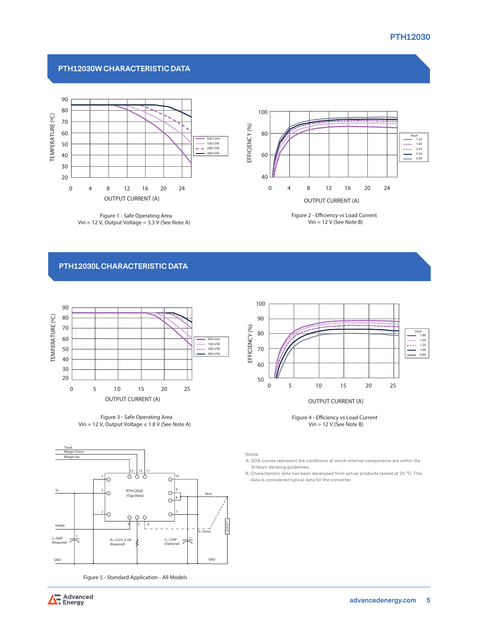#### **PTH12030W CHARACTERISTIC DATA**



**Figure 1 - Safe Operating Area Vin = 12 V, Output Voltage = 3.3 V (See Note A)** OUTPUT CURRENT (A) **Figure 1 - Safe Operating Area**



**Figure 2 - Eciency vs Load Current Vin = 12 V (See Note B) Figure 2 - Efficiency vs Load Current** 

### **PTH12030L CHARACTERISTIC DATA**







**Figure 5 - Standard Application - All Models**



**Figure** 4 - **Efficiency** vs Load Current **Vin = 12 V (See Note B)**

Notes:

A. SOA curves represent the conditions at which internal components are within the Artesyn derating guidelines.

B. Characteristic data has been developed from actual products tested at 25 °C. This data is considered typical data for the converter.

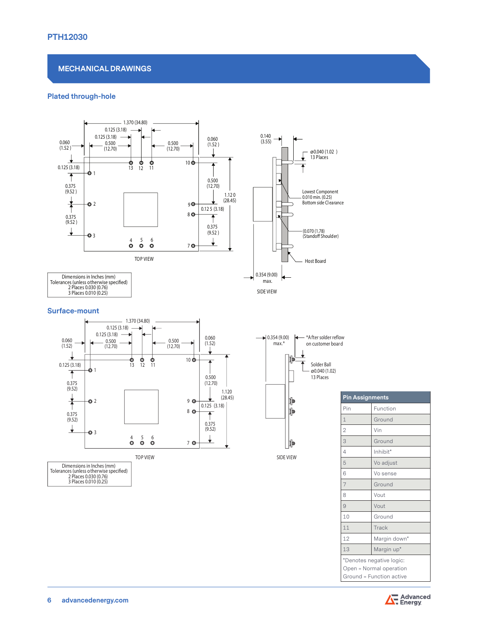#### **MECHANICAL DRAWINGS**

#### **Plated through-hole**



| <b>Pin Assignments</b>                                                          |              |  |  |  |
|---------------------------------------------------------------------------------|--------------|--|--|--|
| Pin                                                                             | Function     |  |  |  |
| 1                                                                               | Ground       |  |  |  |
| $\overline{2}$                                                                  | Vin          |  |  |  |
| 3                                                                               | Ground       |  |  |  |
| 4                                                                               | Inhibit*     |  |  |  |
| 5                                                                               | Vo adjust    |  |  |  |
| 6                                                                               | Vo sense     |  |  |  |
| 7                                                                               | Ground       |  |  |  |
| 8                                                                               | Vout         |  |  |  |
| 9                                                                               | Vout         |  |  |  |
| 10                                                                              | Ground       |  |  |  |
| 11                                                                              | Track        |  |  |  |
| 12                                                                              | Margin down* |  |  |  |
| 13                                                                              | Margin up*   |  |  |  |
| *Denotes negative logic:<br>Open = Normal operation<br>Ground = Function active |              |  |  |  |



Tolerances (unless otherwise specified)<br>2 Places 0.030 (0.76)<br>3 Places 0.010 (0.25)